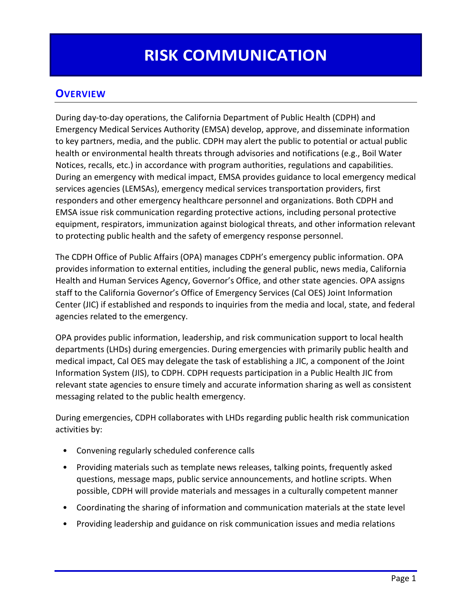# **OVERVIEW**

During day-to-day operations, the California Department of Public Health (CDPH) and Emergency Medical Services Authority (EMSA) develop, approve, and disseminate information to key partners, media, and the public. CDPH may alert the public to potential or actual public health or environmental health threats through advisories and notifications (e.g., Boil Water Notices, recalls, etc.) in accordance with program authorities, regulations and capabilities. During an emergency with medical impact, EMSA provides guidance to local emergency medical services agencies (LEMSAs), emergency medical services transportation providers, first responders and other emergency healthcare personnel and organizations. Both CDPH and EMSA issue risk communication regarding protective actions, including personal protective equipment, respirators, immunization against biological threats, and other information relevant to protecting public health and the safety of emergency response personnel.

The CDPH Office of Public Affairs (OPA) manages CDPH's emergency public information. OPA provides information to external entities, including the general public, news media, California Health and Human Services Agency, Governor's Office, and other state agencies. OPA assigns staff to the California Governor's Office of Emergency Services (Cal OES) Joint Information Center (JIC) if established and responds to inquiries from the media and local, state, and federal agencies related to the emergency.

OPA provides public information, leadership, and risk communication support to local health departments (LHDs) during emergencies. During emergencies with primarily public health and medical impact, Cal OES may delegate the task of establishing a JIC, a component of the Joint Information System (JIS), to CDPH. CDPH requests participation in a Public Health JIC from relevant state agencies to ensure timely and accurate information sharing as well as consistent messaging related to the public health emergency.

During emergencies, CDPH collaborates with LHDs regarding public health risk communication activities by:

- Convening regularly scheduled conference calls
- Providing materials such as template news releases, talking points, frequently asked questions, message maps, public service announcements, and hotline scripts. When possible, CDPH will provide materials and messages in a culturally competent manner
- Coordinating the sharing of information and communication materials at the state level
- Providing leadership and guidance on risk communication issues and media relations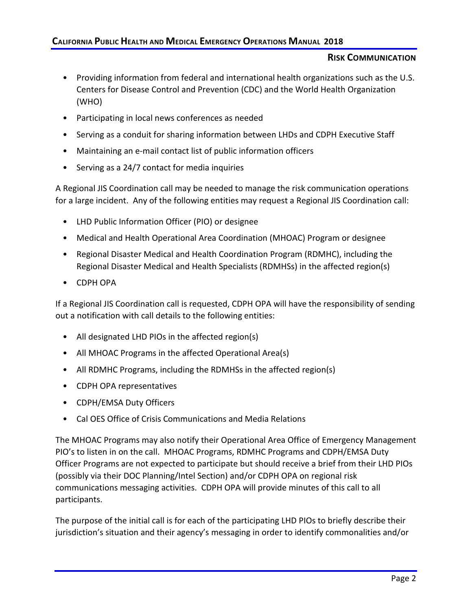- Providing information from federal and international health organizations such as the U.S. Centers for Disease Control and Prevention (CDC) and the World Health Organization (WHO)
- Participating in local news conferences as needed
- Serving as a conduit for sharing information between LHDs and CDPH Executive Staff
- Maintaining an e-mail contact list of public information officers
- Serving as a 24/7 contact for media inquiries

A Regional JIS Coordination call may be needed to manage the risk communication operations for a large incident. Any of the following entities may request a Regional JIS Coordination call:

- LHD Public Information Officer (PIO) or designee
- Medical and Health Operational Area Coordination (MHOAC) Program or designee
- Regional Disaster Medical and Health Coordination Program (RDMHC), including the Regional Disaster Medical and Health Specialists (RDMHSs) in the affected region(s)
- CDPH OPA

If a Regional JIS Coordination call is requested, CDPH OPA will have the responsibility of sending out a notification with call details to the following entities:

- All designated LHD PIOs in the affected region(s)
- All MHOAC Programs in the affected Operational Area(s)
- All RDMHC Programs, including the RDMHSs in the affected region(s)
- CDPH OPA representatives
- CDPH/EMSA Duty Officers
- Cal OES Office of Crisis Communications and Media Relations

The MHOAC Programs may also notify their Operational Area Office of Emergency Management PIO's to listen in on the call. MHOAC Programs, RDMHC Programs and CDPH/EMSA Duty Officer Programs are not expected to participate but should receive a brief from their LHD PIOs (possibly via their DOC Planning/Intel Section) and/or CDPH OPA on regional risk communications messaging activities. CDPH OPA will provide minutes of this call to all participants.

The purpose of the initial call is for each of the participating LHD PIOs to briefly describe their jurisdiction's situation and their agency's messaging in order to identify commonalities and/or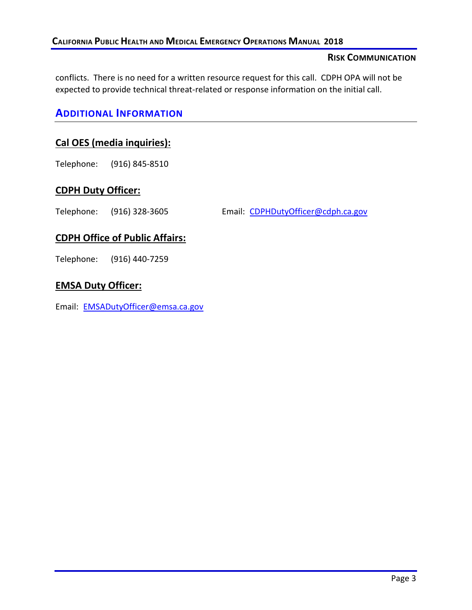conflicts. There is no need for a written resource request for this call. CDPH OPA will not be expected to provide technical threat-related or response information on the initial call.

## **ADDITIONAL INFORMATION**

### **Cal OES (media inquiries):**

Telephone: (916) 845-8510

#### **CDPH Duty Officer:**

Telephone: (916) 328-3605 Email: [CDPHDutyOfficer@cdph.ca.gov](mailto:CDPHDutyOfficer@cdph.ca.gov)

#### **CDPH Office of Public Affairs:**

Telephone: (916) 440-7259

## **EMSA Duty Officer:**

Email: [EMSADutyOfficer@emsa.ca.gov](mailto:EMSADutyOfficer@emsa.ca.gov)